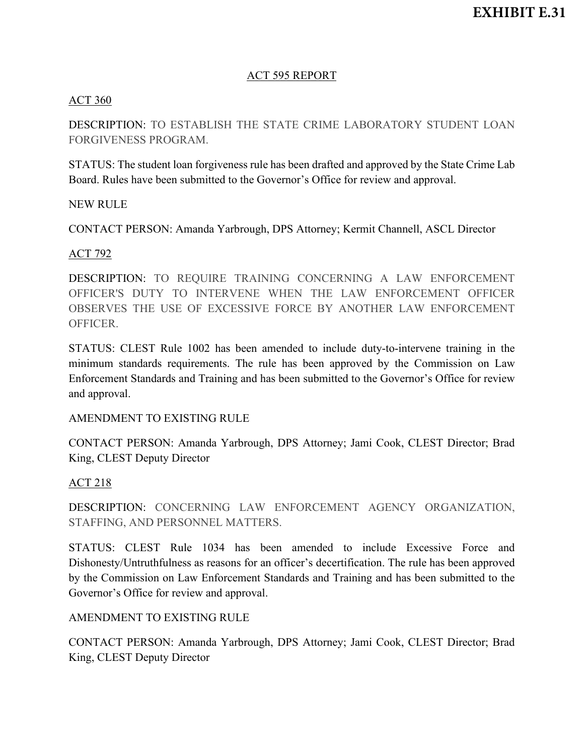### ACT 595 REPORT

### ACT 360

DESCRIPTION: TO ESTABLISH THE STATE CRIME LABORATORY STUDENT LOAN FORGIVENESS PROGRAM.

STATUS: The student loan forgiveness rule has been drafted and approved by the State Crime Lab Board. Rules have been submitted to the Governor's Office for review and approval.

#### NEW RULE

CONTACT PERSON: Amanda Yarbrough, DPS Attorney; Kermit Channell, ASCL Director

### ACT 792

DESCRIPTION: TO REQUIRE TRAINING CONCERNING A LAW ENFORCEMENT OFFICER'S DUTY TO INTERVENE WHEN THE LAW ENFORCEMENT OFFICER OBSERVES THE USE OF EXCESSIVE FORCE BY ANOTHER LAW ENFORCEMENT OFFICER.

STATUS: CLEST Rule 1002 has been amended to include duty-to-intervene training in the minimum standards requirements. The rule has been approved by the Commission on Law Enforcement Standards and Training and has been submitted to the Governor's Office for review and approval.

#### AMENDMENT TO EXISTING RULE

CONTACT PERSON: Amanda Yarbrough, DPS Attorney; Jami Cook, CLEST Director; Brad King, CLEST Deputy Director

#### ACT 218

DESCRIPTION: CONCERNING LAW ENFORCEMENT AGENCY ORGANIZATION, STAFFING, AND PERSONNEL MATTERS.

STATUS: CLEST Rule 1034 has been amended to include Excessive Force and Dishonesty/Untruthfulness as reasons for an officer's decertification. The rule has been approved by the Commission on Law Enforcement Standards and Training and has been submitted to the Governor's Office for review and approval.

#### AMENDMENT TO EXISTING RULE

CONTACT PERSON: Amanda Yarbrough, DPS Attorney; Jami Cook, CLEST Director; Brad King, CLEST Deputy Director